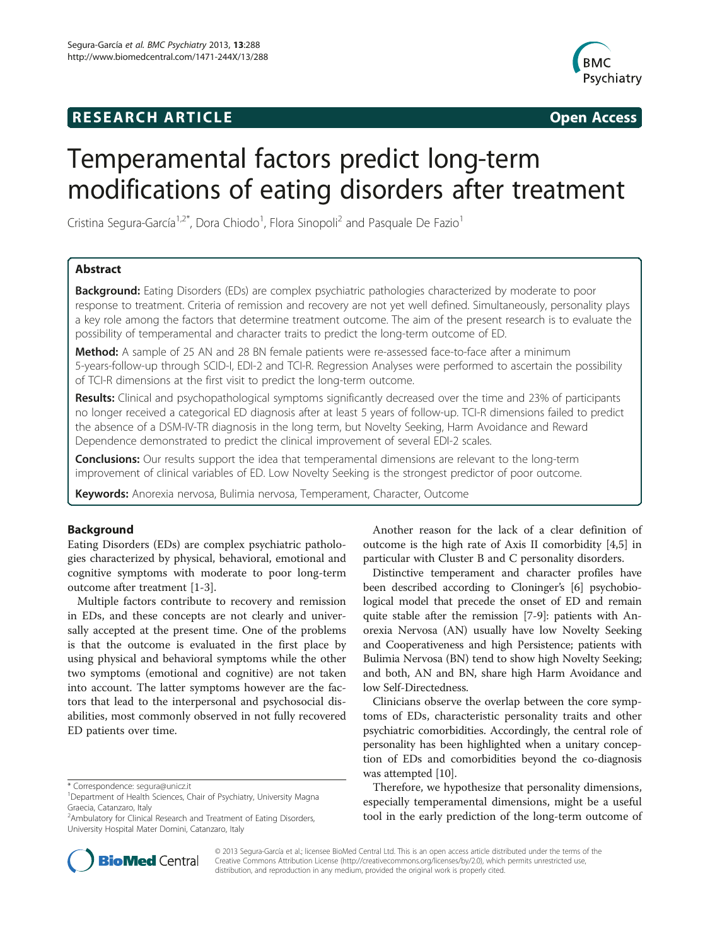# **RESEARCH ARTICLE Example 2014 CONSIDERING CONSIDERING CONSIDERING CONSIDERING CONSIDERING CONSIDERING CONSIDERING CONSIDERING CONSIDERING CONSIDERING CONSIDERING CONSIDERING CONSIDERING CONSIDERING CONSIDERING CONSIDE**



# Temperamental factors predict long-term modifications of eating disorders after treatment

Cristina Segura-García<sup>1,2\*</sup>, Dora Chiodo<sup>1</sup>, Flora Sinopoli<sup>2</sup> and Pasquale De Fazio<sup>1</sup>

# Abstract

**Background:** Eating Disorders (EDs) are complex psychiatric pathologies characterized by moderate to poor response to treatment. Criteria of remission and recovery are not yet well defined. Simultaneously, personality plays a key role among the factors that determine treatment outcome. The aim of the present research is to evaluate the possibility of temperamental and character traits to predict the long-term outcome of ED.

Method: A sample of 25 AN and 28 BN female patients were re-assessed face-to-face after a minimum 5-years-follow-up through SCID-I, EDI-2 and TCI-R. Regression Analyses were performed to ascertain the possibility of TCI-R dimensions at the first visit to predict the long-term outcome.

Results: Clinical and psychopathological symptoms significantly decreased over the time and 23% of participants no longer received a categorical ED diagnosis after at least 5 years of follow-up. TCI-R dimensions failed to predict the absence of a DSM-IV-TR diagnosis in the long term, but Novelty Seeking, Harm Avoidance and Reward Dependence demonstrated to predict the clinical improvement of several EDI-2 scales.

**Conclusions:** Our results support the idea that temperamental dimensions are relevant to the long-term improvement of clinical variables of ED. Low Novelty Seeking is the strongest predictor of poor outcome.

Keywords: Anorexia nervosa, Bulimia nervosa, Temperament, Character, Outcome

# Background

Eating Disorders (EDs) are complex psychiatric pathologies characterized by physical, behavioral, emotional and cognitive symptoms with moderate to poor long-term outcome after treatment [[1-3](#page-5-0)].

Multiple factors contribute to recovery and remission in EDs, and these concepts are not clearly and universally accepted at the present time. One of the problems is that the outcome is evaluated in the first place by using physical and behavioral symptoms while the other two symptoms (emotional and cognitive) are not taken into account. The latter symptoms however are the factors that lead to the interpersonal and psychosocial disabilities, most commonly observed in not fully recovered ED patients over time.

Another reason for the lack of a clear definition of outcome is the high rate of Axis II comorbidity [[4,5\]](#page-5-0) in particular with Cluster B and C personality disorders.

Distinctive temperament and character profiles have been described according to Cloninger's [[6\]](#page-5-0) psychobiological model that precede the onset of ED and remain quite stable after the remission [\[7](#page-5-0)-[9](#page-6-0)]: patients with Anorexia Nervosa (AN) usually have low Novelty Seeking and Cooperativeness and high Persistence; patients with Bulimia Nervosa (BN) tend to show high Novelty Seeking; and both, AN and BN, share high Harm Avoidance and low Self-Directedness.

Clinicians observe the overlap between the core symptoms of EDs, characteristic personality traits and other psychiatric comorbidities. Accordingly, the central role of personality has been highlighted when a unitary conception of EDs and comorbidities beyond the co-diagnosis was attempted [\[10](#page-6-0)].

Therefore, we hypothesize that personality dimensions, especially temperamental dimensions, might be a useful tool in the early prediction of the long-term outcome of



© 2013 Segura-García et al.; licensee BioMed Central Ltd. This is an open access article distributed under the terms of the Creative Commons Attribution License (<http://creativecommons.org/licenses/by/2.0>), which permits unrestricted use, distribution, and reproduction in any medium, provided the original work is properly cited.

<sup>\*</sup> Correspondence: [segura@unicz.it](mailto:segura@unicz.it) <sup>1</sup>

<sup>&</sup>lt;sup>1</sup>Department of Health Sciences, Chair of Psychiatry, University Magna Graecia, Catanzaro, Italy

<sup>&</sup>lt;sup>2</sup> Ambulatory for Clinical Research and Treatment of Eating Disorders, University Hospital Mater Domini, Catanzaro, Italy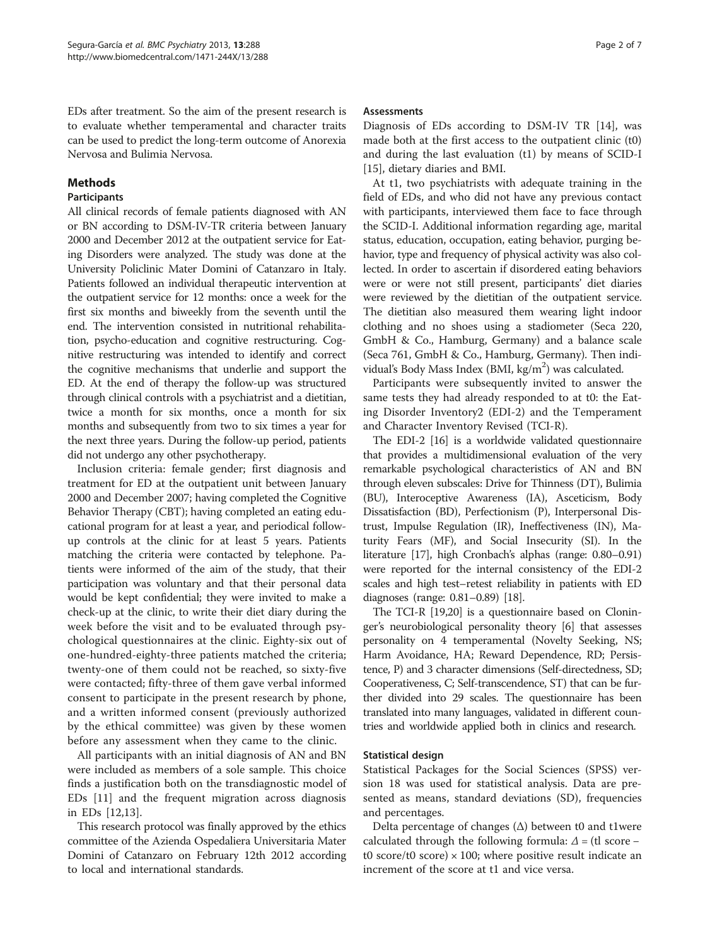EDs after treatment. So the aim of the present research is to evaluate whether temperamental and character traits can be used to predict the long-term outcome of Anorexia Nervosa and Bulimia Nervosa.

#### Methods

#### Participants

All clinical records of female patients diagnosed with AN or BN according to DSM-IV-TR criteria between January 2000 and December 2012 at the outpatient service for Eating Disorders were analyzed. The study was done at the University Policlinic Mater Domini of Catanzaro in Italy. Patients followed an individual therapeutic intervention at the outpatient service for 12 months: once a week for the first six months and biweekly from the seventh until the end. The intervention consisted in nutritional rehabilitation, psycho-education and cognitive restructuring. Cognitive restructuring was intended to identify and correct the cognitive mechanisms that underlie and support the ED. At the end of therapy the follow-up was structured through clinical controls with a psychiatrist and a dietitian, twice a month for six months, once a month for six months and subsequently from two to six times a year for the next three years. During the follow-up period, patients did not undergo any other psychotherapy.

Inclusion criteria: female gender; first diagnosis and treatment for ED at the outpatient unit between January 2000 and December 2007; having completed the Cognitive Behavior Therapy (CBT); having completed an eating educational program for at least a year, and periodical followup controls at the clinic for at least 5 years. Patients matching the criteria were contacted by telephone. Patients were informed of the aim of the study, that their participation was voluntary and that their personal data would be kept confidential; they were invited to make a check-up at the clinic, to write their diet diary during the week before the visit and to be evaluated through psychological questionnaires at the clinic. Eighty-six out of one-hundred-eighty-three patients matched the criteria; twenty-one of them could not be reached, so sixty-five were contacted; fifty-three of them gave verbal informed consent to participate in the present research by phone, and a written informed consent (previously authorized by the ethical committee) was given by these women before any assessment when they came to the clinic.

All participants with an initial diagnosis of AN and BN were included as members of a sole sample. This choice finds a justification both on the transdiagnostic model of EDs [[11](#page-6-0)] and the frequent migration across diagnosis in EDs [\[12,13\]](#page-6-0).

This research protocol was finally approved by the ethics committee of the Azienda Ospedaliera Universitaria Mater Domini of Catanzaro on February 12th 2012 according to local and international standards.

#### **Assessments**

Diagnosis of EDs according to DSM-IV TR [\[14](#page-6-0)], was made both at the first access to the outpatient clinic (t0) and during the last evaluation (t1) by means of SCID-I [[15\]](#page-6-0), dietary diaries and BMI.

At t1, two psychiatrists with adequate training in the field of EDs, and who did not have any previous contact with participants, interviewed them face to face through the SCID-I. Additional information regarding age, marital status, education, occupation, eating behavior, purging behavior, type and frequency of physical activity was also collected. In order to ascertain if disordered eating behaviors were or were not still present, participants' diet diaries were reviewed by the dietitian of the outpatient service. The dietitian also measured them wearing light indoor clothing and no shoes using a stadiometer (Seca 220, GmbH & Co., Hamburg, Germany) and a balance scale (Seca 761, GmbH & Co., Hamburg, Germany). Then individual's Body Mass Index (BMI, kg/m<sup>2</sup>) was calculated.

Participants were subsequently invited to answer the same tests they had already responded to at t0: the Eating Disorder Inventory2 (EDI-2) and the Temperament and Character Inventory Revised (TCI-R).

The EDI-2 [\[16](#page-6-0)] is a worldwide validated questionnaire that provides a multidimensional evaluation of the very remarkable psychological characteristics of AN and BN through eleven subscales: Drive for Thinness (DT), Bulimia (BU), Interoceptive Awareness (IA), Asceticism, Body Dissatisfaction (BD), Perfectionism (P), Interpersonal Distrust, Impulse Regulation (IR), Ineffectiveness (IN), Maturity Fears (MF), and Social Insecurity (SI). In the literature [\[17\]](#page-6-0), high Cronbach's alphas (range: 0.80–0.91) were reported for the internal consistency of the EDI-2 scales and high test–retest reliability in patients with ED diagnoses (range: 0.81–0.89) [[18](#page-6-0)].

The TCI-R [\[19,20](#page-6-0)] is a questionnaire based on Cloninger's neurobiological personality theory [\[6](#page-5-0)] that assesses personality on 4 temperamental (Novelty Seeking, NS; Harm Avoidance, HA; Reward Dependence, RD; Persistence, P) and 3 character dimensions (Self-directedness, SD; Cooperativeness, C; Self-transcendence, ST) that can be further divided into 29 scales. The questionnaire has been translated into many languages, validated in different countries and worldwide applied both in clinics and research.

# Statistical design

Statistical Packages for the Social Sciences (SPSS) version 18 was used for statistical analysis. Data are presented as means, standard deviations (SD), frequencies and percentages.

Delta percentage of changes  $(\Delta)$  between t0 and t1were calculated through the following formula:  $\Delta = (tI)$  score – t0 score/t0 score)  $\times$  100; where positive result indicate an increment of the score at t1 and vice versa.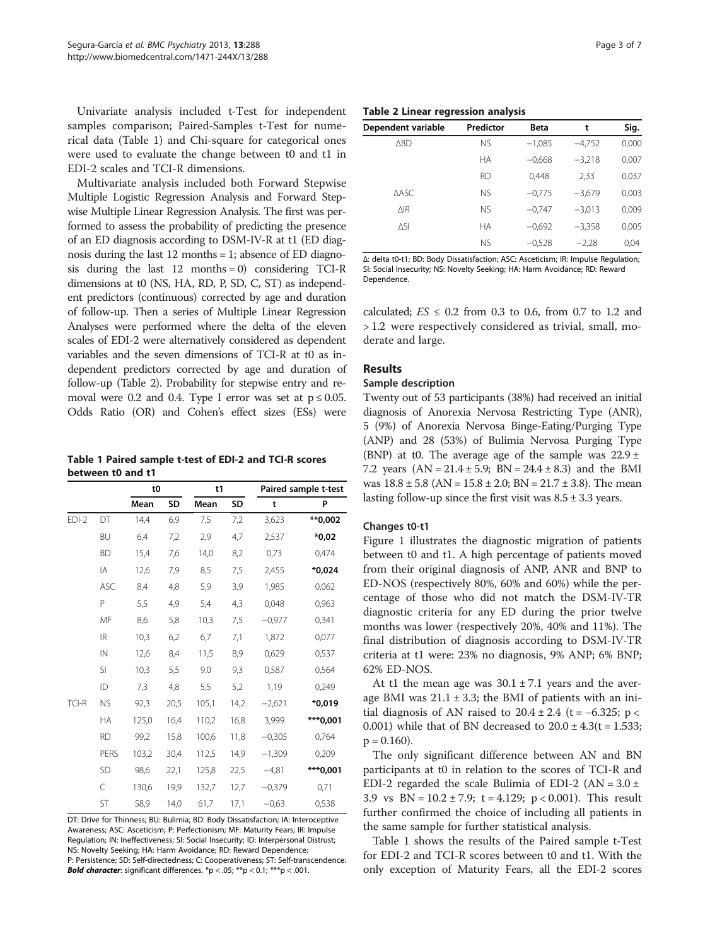<span id="page-2-0"></span>Univariate analysis included t-Test for independent samples comparison; Paired-Samples t-Test for numerical data (Table 1) and Chi-square for categorical ones were used to evaluate the change between t0 and t1 in EDI-2 scales and TCI-R dimensions.

Multivariate analysis included both Forward Stepwise Multiple Logistic Regression Analysis and Forward Stepwise Multiple Linear Regression Analysis. The first was performed to assess the probability of predicting the presence of an ED diagnosis according to DSM-IV-R at t1 (ED diagnosis during the last 12 months = 1; absence of ED diagnosis during the last  $12$  months = 0) considering TCI-R dimensions at t0 (NS, HA, RD, P, SD, C, ST) as independent predictors (continuous) corrected by age and duration of follow-up. Then a series of Multiple Linear Regression Analyses were performed where the delta of the eleven scales of EDI-2 were alternatively considered as dependent variables and the seven dimensions of TCI-R at t0 as independent predictors corrected by age and duration of follow-up (Table 2). Probability for stepwise entry and removal were 0.2 and 0.4. Type I error was set at  $p \le 0.05$ . Odds Ratio (OR) and Cohen's effect sizes (ESs) were

Table 1 Paired sample t-test of EDI-2 and TCI-R scores between t0 and t1

|              |             | t0    |           | t1    |           |          | Paired sample t-test |
|--------------|-------------|-------|-----------|-------|-----------|----------|----------------------|
|              |             | Mean  | <b>SD</b> | Mean  | <b>SD</b> | t        | P                    |
| $EDI-2$      | DT          | 14,4  | 6,9       | 7,5   | 7,2       | 3,623    | $**0,002$            |
|              | BU          | 6,4   | 7,2       | 2,9   | 4,7       | 2,537    | $*0,02$              |
|              | BD          | 15,4  | 7,6       | 14,0  | 8,2       | 0,73     | 0,474                |
|              | IA          | 12,6  | 7,9       | 8,5   | 7,5       | 2,455    | *0,024               |
|              | ASC         | 8,4   | 4,8       | 5,9   | 3,9       | 1,985    | 0,062                |
|              | P           | 5,5   | 4,9       | 5,4   | 4,3       | 0,048    | 0,963                |
|              | MF          | 8,6   | 5,8       | 10,3  | 7,5       | $-0.977$ | 0,341                |
|              | IR.         | 10,3  | 6,2       | 6,7   | 7,1       | 1,872    | 0,077                |
|              | IN          | 12,6  | 8,4       | 11,5  | 8,9       | 0,629    | 0,537                |
|              | <b>SI</b>   | 10,3  | 5,5       | 9,0   | 9,3       | 0,587    | 0,564                |
|              | ID          | 7,3   | 4,8       | 5,5   | 5,2       | 1,19     | 0,249                |
| <b>TCI-R</b> | <b>NS</b>   | 92,3  | 20,5      | 105,1 | 14,2      | $-2,621$ | *0,019               |
|              | <b>HA</b>   | 125,0 | 16,4      | 110,2 | 16,8      | 3,999    | $***0,001$           |
|              | <b>RD</b>   | 99,2  | 15,8      | 100,6 | 11,8      | $-0,305$ | 0,764                |
|              | <b>PERS</b> | 103,2 | 30,4      | 112,5 | 14,9      | $-1,309$ | 0,209                |
|              | <b>SD</b>   | 98,6  | 22,1      | 125,8 | 22,5      | $-4,81$  | $***0,001$           |
|              | C           | 130,6 | 19,9      | 132,7 | 12,7      | $-0,379$ | 0,71                 |
|              | ST          | 58,9  | 14,0      | 61,7  | 17,1      | $-0,63$  | 0,538                |

DT: Drive for Thinness; BU: Bulimia; BD: Body Dissatisfaction; IA: Interoceptive Awareness; ASC: Asceticism; P: Perfectionism; MF: Maturity Fears; IR: Impulse Regulation; IN: Ineffectiveness; SI: Social Insecurity; ID: Interpersonal Distrust; NS: Novelty Seeking; HA: Harm Avoidance; RD: Reward Dependence; P: Persistence; SD: Self-directedness; C: Cooperativeness; ST: Self-transcendence. **Bold character**: significant differences.  ${}^*p$  < .05;  ${}^{**}p$  < 0.1;  ${}^{***}p$  < .001.

#### Table 2 Linear regression analysis

| Dependent variable | Predictor | <b>Beta</b> | t        | Sig.  |
|--------------------|-----------|-------------|----------|-------|
| $\triangle BD$     | NS.       | $-1.085$    | $-4.752$ | 0,000 |
|                    | НA        | $-0,668$    | $-3,218$ | 0,007 |
|                    | <b>RD</b> | 0.448       | 2,33     | 0,037 |
| ∆ASC               | <b>NS</b> | $-0.775$    | $-3,679$ | 0,003 |
| $\triangle$ IR     | <b>NS</b> | $-0.747$    | $-3.013$ | 0,009 |
| ΔSΙ                | НA        | $-0,692$    | $-3,358$ | 0,005 |
|                    | <b>NS</b> | $-0.528$    | $-2,28$  | 0,04  |

Δ: delta t0-t1; BD: Body Dissatisfaction; ASC: Asceticism; IR: Impulse Regulation; SI: Social Insecurity; NS: Novelty Seeking; HA: Harm Avoidance; RD: Reward Dependence.

calculated;  $ES \leq 0.2$  from 0.3 to 0.6, from 0.7 to 1.2 and > 1.2 were respectively considered as trivial, small, moderate and large.

# Results

#### Sample description

Twenty out of 53 participants (38%) had received an initial diagnosis of Anorexia Nervosa Restricting Type (ANR), 5 (9%) of Anorexia Nervosa Binge-Eating/Purging Type (ANP) and 28 (53%) of Bulimia Nervosa Purging Type (BNP) at t0. The average age of the sample was  $22.9 \pm$ 7.2 years  $(AN = 21.4 \pm 5.9; BN = 24.4 \pm 8.3)$  and the BMI was  $18.8 \pm 5.8$  (AN =  $15.8 \pm 2.0$ ; BN =  $21.7 \pm 3.8$ ). The mean lasting follow-up since the first visit was  $8.5 \pm 3.3$  years.

#### Changes t0-t1

Figure [1](#page-3-0) illustrates the diagnostic migration of patients between t0 and t1. A high percentage of patients moved from their original diagnosis of ANP, ANR and BNP to ED-NOS (respectively 80%, 60% and 60%) while the percentage of those who did not match the DSM-IV-TR diagnostic criteria for any ED during the prior twelve months was lower (respectively 20%, 40% and 11%). The final distribution of diagnosis according to DSM-IV-TR criteria at t1 were: 23% no diagnosis, 9% ANP; 6% BNP; 62% ED-NOS.

At t1 the mean age was  $30.1 \pm 7.1$  years and the average BMI was  $21.1 \pm 3.3$ ; the BMI of patients with an initial diagnosis of AN raised to  $20.4 \pm 2.4$  (t = −6.325; p < 0.001) while that of BN decreased to  $20.0 \pm 4.3$  (t = 1.533;  $p = 0.160$ ).

The only significant difference between AN and BN participants at t0 in relation to the scores of TCI-R and EDI-2 regarded the scale Bulimia of EDI-2 (AN =  $3.0 \pm$ 3.9 vs  $BN = 10.2 \pm 7.9$ ;  $t = 4.129$ ;  $p < 0.001$ ). This result further confirmed the choice of including all patients in the same sample for further statistical analysis.

Table 1 shows the results of the Paired sample t-Test for EDI-2 and TCI-R scores between t0 and t1. With the only exception of Maturity Fears, all the EDI-2 scores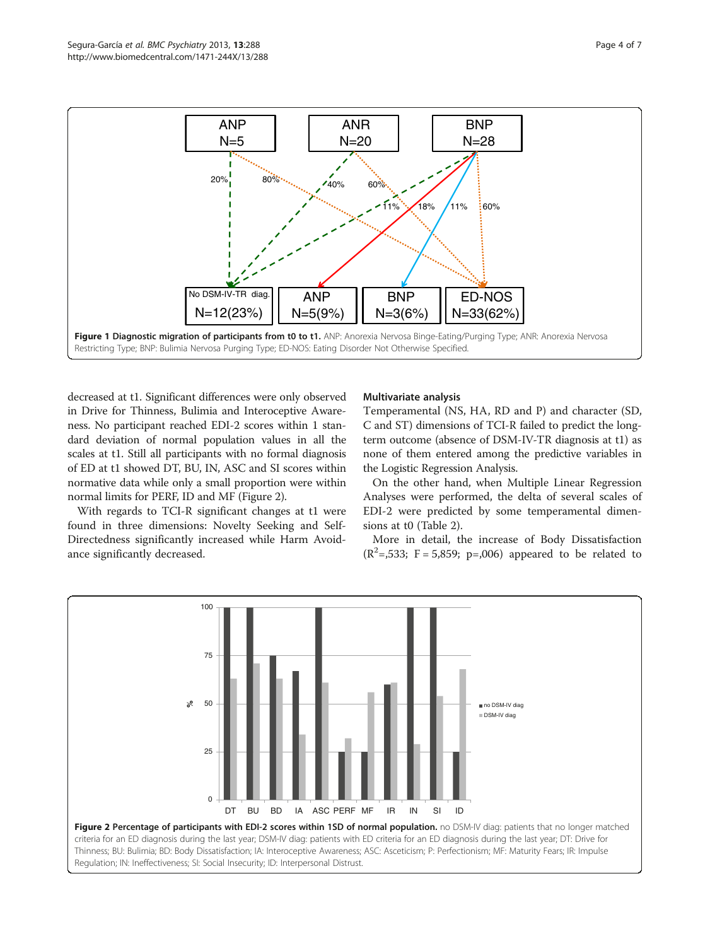<span id="page-3-0"></span>

decreased at t1. Significant differences were only observed in Drive for Thinness, Bulimia and Interoceptive Awareness. No participant reached EDI-2 scores within 1 standard deviation of normal population values in all the scales at t1. Still all participants with no formal diagnosis of ED at t1 showed DT, BU, IN, ASC and SI scores within normative data while only a small proportion were within normal limits for PERF, ID and MF (Figure 2).

With regards to TCI-R significant changes at t1 were found in three dimensions: Novelty Seeking and Self-Directedness significantly increased while Harm Avoidance significantly decreased.

#### Multivariate analysis

Temperamental (NS, HA, RD and P) and character (SD, C and ST) dimensions of TCI-R failed to predict the longterm outcome (absence of DSM-IV-TR diagnosis at t1) as none of them entered among the predictive variables in the Logistic Regression Analysis.

On the other hand, when Multiple Linear Regression Analyses were performed, the delta of several scales of EDI-2 were predicted by some temperamental dimensions at t0 (Table [2](#page-2-0)).

More in detail, the increase of Body Dissatisfaction  $(R^2 = 533; F = 5,859; p = 0,006)$  appeared to be related to

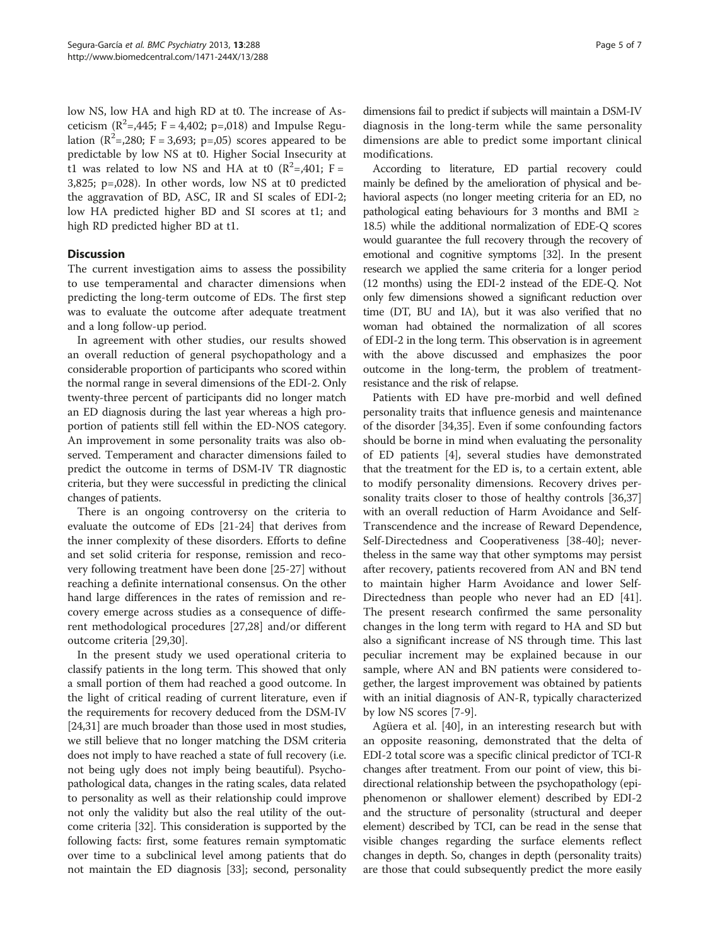low NS, low HA and high RD at t0. The increase of Asceticism  $(R^2 = 4.445; F = 4.402; p = 0.018)$  and Impulse Regulation ( $R^2$ =,280; F = 3,693; p=,05) scores appeared to be predictable by low NS at t0. Higher Social Insecurity at t1 was related to low NS and HA at t0  $(R^2 = -401; F =$ 3,825; p=,028). In other words, low NS at t0 predicted the aggravation of BD, ASC, IR and SI scales of EDI-2; low HA predicted higher BD and SI scores at t1; and high RD predicted higher BD at t1.

# **Discussion**

The current investigation aims to assess the possibility to use temperamental and character dimensions when predicting the long-term outcome of EDs. The first step was to evaluate the outcome after adequate treatment and a long follow-up period.

In agreement with other studies, our results showed an overall reduction of general psychopathology and a considerable proportion of participants who scored within the normal range in several dimensions of the EDI-2. Only twenty-three percent of participants did no longer match an ED diagnosis during the last year whereas a high proportion of patients still fell within the ED-NOS category. An improvement in some personality traits was also observed. Temperament and character dimensions failed to predict the outcome in terms of DSM-IV TR diagnostic criteria, but they were successful in predicting the clinical changes of patients.

There is an ongoing controversy on the criteria to evaluate the outcome of EDs [\[21-24](#page-6-0)] that derives from the inner complexity of these disorders. Efforts to define and set solid criteria for response, remission and recovery following treatment have been done [[25-27](#page-6-0)] without reaching a definite international consensus. On the other hand large differences in the rates of remission and recovery emerge across studies as a consequence of different methodological procedures [[27,28\]](#page-6-0) and/or different outcome criteria [\[29,30](#page-6-0)].

In the present study we used operational criteria to classify patients in the long term. This showed that only a small portion of them had reached a good outcome. In the light of critical reading of current literature, even if the requirements for recovery deduced from the DSM-IV [[24,31](#page-6-0)] are much broader than those used in most studies, we still believe that no longer matching the DSM criteria does not imply to have reached a state of full recovery (i.e. not being ugly does not imply being beautiful). Psychopathological data, changes in the rating scales, data related to personality as well as their relationship could improve not only the validity but also the real utility of the outcome criteria [\[32\]](#page-6-0). This consideration is supported by the following facts: first, some features remain symptomatic over time to a subclinical level among patients that do not maintain the ED diagnosis [\[33\]](#page-6-0); second, personality dimensions fail to predict if subjects will maintain a DSM-IV diagnosis in the long-term while the same personality dimensions are able to predict some important clinical modifications.

According to literature, ED partial recovery could mainly be defined by the amelioration of physical and behavioral aspects (no longer meeting criteria for an ED, no pathological eating behaviours for 3 months and BMI ≥ 18.5) while the additional normalization of EDE-Q scores would guarantee the full recovery through the recovery of emotional and cognitive symptoms [\[32\]](#page-6-0). In the present research we applied the same criteria for a longer period (12 months) using the EDI-2 instead of the EDE-Q. Not only few dimensions showed a significant reduction over time (DT, BU and IA), but it was also verified that no woman had obtained the normalization of all scores of EDI-2 in the long term. This observation is in agreement with the above discussed and emphasizes the poor outcome in the long-term, the problem of treatmentresistance and the risk of relapse.

Patients with ED have pre-morbid and well defined personality traits that influence genesis and maintenance of the disorder [\[34,35\]](#page-6-0). Even if some confounding factors should be borne in mind when evaluating the personality of ED patients [[4](#page-5-0)], several studies have demonstrated that the treatment for the ED is, to a certain extent, able to modify personality dimensions. Recovery drives per-sonality traits closer to those of healthy controls [[36](#page-6-0),[37](#page-6-0)] with an overall reduction of Harm Avoidance and Self-Transcendence and the increase of Reward Dependence, Self-Directedness and Cooperativeness [\[38](#page-6-0)-[40](#page-6-0)]; nevertheless in the same way that other symptoms may persist after recovery, patients recovered from AN and BN tend to maintain higher Harm Avoidance and lower Self-Directedness than people who never had an ED [\[41](#page-6-0)]. The present research confirmed the same personality changes in the long term with regard to HA and SD but also a significant increase of NS through time. This last peculiar increment may be explained because in our sample, where AN and BN patients were considered together, the largest improvement was obtained by patients with an initial diagnosis of AN-R, typically characterized by low NS scores [\[7](#page-5-0)-[9\]](#page-6-0).

Agüera et al. [[40](#page-6-0)], in an interesting research but with an opposite reasoning, demonstrated that the delta of EDI-2 total score was a specific clinical predictor of TCI-R changes after treatment. From our point of view, this bidirectional relationship between the psychopathology (epiphenomenon or shallower element) described by EDI-2 and the structure of personality (structural and deeper element) described by TCI, can be read in the sense that visible changes regarding the surface elements reflect changes in depth. So, changes in depth (personality traits) are those that could subsequently predict the more easily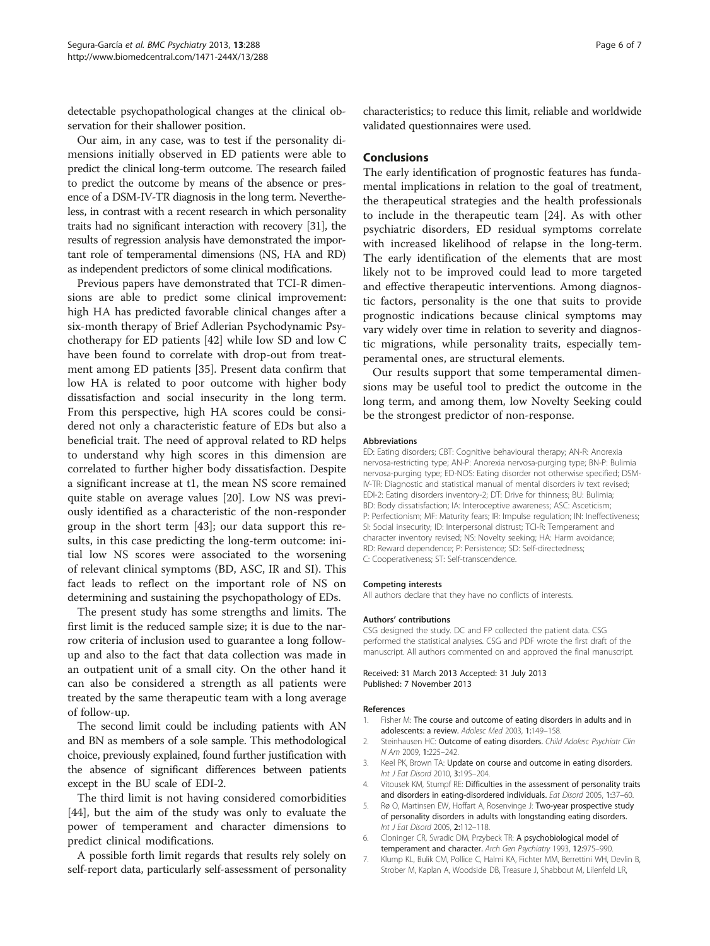<span id="page-5-0"></span>detectable psychopathological changes at the clinical observation for their shallower position.

Our aim, in any case, was to test if the personality dimensions initially observed in ED patients were able to predict the clinical long-term outcome. The research failed to predict the outcome by means of the absence or presence of a DSM-IV-TR diagnosis in the long term. Nevertheless, in contrast with a recent research in which personality traits had no significant interaction with recovery [\[31\]](#page-6-0), the results of regression analysis have demonstrated the important role of temperamental dimensions (NS, HA and RD) as independent predictors of some clinical modifications.

Previous papers have demonstrated that TCI-R dimensions are able to predict some clinical improvement: high HA has predicted favorable clinical changes after a six-month therapy of Brief Adlerian Psychodynamic Psychotherapy for ED patients [\[42](#page-6-0)] while low SD and low C have been found to correlate with drop-out from treatment among ED patients [[35](#page-6-0)]. Present data confirm that low HA is related to poor outcome with higher body dissatisfaction and social insecurity in the long term. From this perspective, high HA scores could be considered not only a characteristic feature of EDs but also a beneficial trait. The need of approval related to RD helps to understand why high scores in this dimension are correlated to further higher body dissatisfaction. Despite a significant increase at t1, the mean NS score remained quite stable on average values [\[20\]](#page-6-0). Low NS was previously identified as a characteristic of the non-responder group in the short term [[43](#page-6-0)]; our data support this results, in this case predicting the long-term outcome: initial low NS scores were associated to the worsening of relevant clinical symptoms (BD, ASC, IR and SI). This fact leads to reflect on the important role of NS on determining and sustaining the psychopathology of EDs.

The present study has some strengths and limits. The first limit is the reduced sample size; it is due to the narrow criteria of inclusion used to guarantee a long followup and also to the fact that data collection was made in an outpatient unit of a small city. On the other hand it can also be considered a strength as all patients were treated by the same therapeutic team with a long average of follow-up.

The second limit could be including patients with AN and BN as members of a sole sample. This methodological choice, previously explained, found further justification with the absence of significant differences between patients except in the BU scale of EDI-2.

The third limit is not having considered comorbidities [[44\]](#page-6-0), but the aim of the study was only to evaluate the power of temperament and character dimensions to predict clinical modifications.

A possible forth limit regards that results rely solely on self-report data, particularly self-assessment of personality

characteristics; to reduce this limit, reliable and worldwide validated questionnaires were used.

#### Conclusions

The early identification of prognostic features has fundamental implications in relation to the goal of treatment, the therapeutical strategies and the health professionals to include in the therapeutic team [[24\]](#page-6-0). As with other psychiatric disorders, ED residual symptoms correlate with increased likelihood of relapse in the long-term. The early identification of the elements that are most likely not to be improved could lead to more targeted and effective therapeutic interventions. Among diagnostic factors, personality is the one that suits to provide prognostic indications because clinical symptoms may vary widely over time in relation to severity and diagnostic migrations, while personality traits, especially temperamental ones, are structural elements.

Our results support that some temperamental dimensions may be useful tool to predict the outcome in the long term, and among them, low Novelty Seeking could be the strongest predictor of non-response.

#### Abbreviations

ED: Eating disorders; CBT: Cognitive behavioural therapy; AN-R: Anorexia nervosa-restricting type; AN-P: Anorexia nervosa-purging type; BN-P: Bulimia nervosa-purging type; ED-NOS: Eating disorder not otherwise specified; DSM-IV-TR: Diagnostic and statistical manual of mental disorders iv text revised; EDI-2: Eating disorders inventory-2; DT: Drive for thinness; BU: Bulimia; BD: Body dissatisfaction; IA: Interoceptive awareness; ASC: Asceticism; P: Perfectionism; MF: Maturity fears; IR: Impulse regulation; IN: Ineffectiveness; SI: Social insecurity; ID: Interpersonal distrust; TCI-R: Temperament and character inventory revised; NS: Novelty seeking; HA: Harm avoidance; RD: Reward dependence; P: Persistence; SD: Self-directedness; C: Cooperativeness; ST: Self-transcendence.

#### Competing interests

All authors declare that they have no conflicts of interests.

#### Authors' contributions

CSG designed the study. DC and FP collected the patient data. CSG performed the statistical analyses. CSG and PDF wrote the first draft of the manuscript. All authors commented on and approved the final manuscript.

Received: 31 March 2013 Accepted: 31 July 2013 Published: 7 November 2013

#### References

- 1. Fisher M: The course and outcome of eating disorders in adults and in adolescents: a review. Adolesc Med 2003, 1:149–158.
- 2. Steinhausen HC: Outcome of eating disorders. Child Adolesc Psychiatr Clin N Am 2009, 1:225–242.
- 3. Keel PK, Brown TA: Update on course and outcome in eating disorders. Int J Eat Disord 2010, 3:195–204.
- 4. Vitousek KM, Stumpf RE: Difficulties in the assessment of personality traits and disorders in eating-disordered individuals. Eat Disord 2005, 1:37–60.
- 5. Rø O, Martinsen EW, Hoffart A, Rosenvinge J: Two-year prospective study of personality disorders in adults with longstanding eating disorders. Int J Eat Disord 2005, 2:112–118.
- 6. Cloninger CR, Svradic DM, Przybeck TR: A psychobiological model of temperament and character. Arch Gen Psychiatry 1993, 12:975-990.
- 7. Klump KL, Bulik CM, Pollice C, Halmi KA, Fichter MM, Berrettini WH, Devlin B, Strober M, Kaplan A, Woodside DB, Treasure J, Shabbout M, Lilenfeld LR,